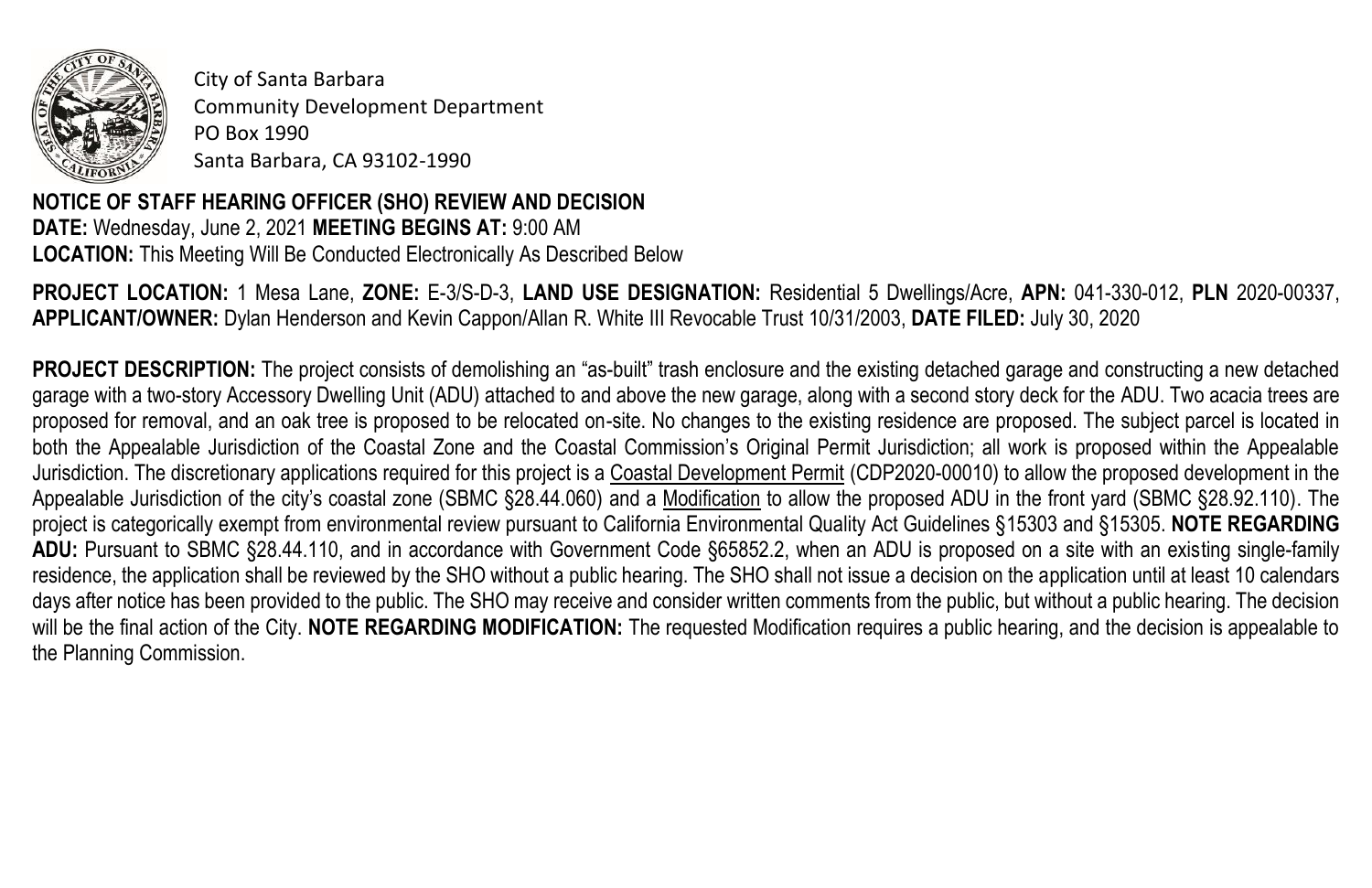

City of Santa Barbara Community Development Department PO Box 1990 Santa Barbara, CA 93102-1990

**NOTICE OF STAFF HEARING OFFICER (SHO) REVIEW AND DECISION DATE:** Wednesday, June 2, 2021 **MEETING BEGINS AT:** 9:00 AM **LOCATION:** This Meeting Will Be Conducted Electronically As Described Below

**PROJECT LOCATION:** 1 Mesa Lane, **ZONE:** E-3/S-D-3, **LAND USE DESIGNATION:** Residential 5 Dwellings/Acre, **APN:** 041-330-012, **PLN** 2020-00337, **APPLICANT/OWNER:** Dylan Henderson and Kevin Cappon/Allan R. White III Revocable Trust 10/31/2003, **DATE FILED:** July 30, 2020

**PROJECT DESCRIPTION:** The project consists of demolishing an "as-built" trash enclosure and the existing detached garage and constructing a new detached garage with a two-story Accessory Dwelling Unit (ADU) attached to and above the new garage, along with a second story deck for the ADU. Two acacia trees are proposed for removal, and an oak tree is proposed to be relocated on-site. No changes to the existing residence are proposed. The subject parcel is located in both the Appealable Jurisdiction of the Coastal Zone and the Coastal Commission's Original Permit Jurisdiction; all work is proposed within the Appealable Jurisdiction. The discretionary applications required for this project is a Coastal Development Permit (CDP2020-00010) to allow the proposed development in the Appealable Jurisdiction of the city's coastal zone (SBMC §28.44.060) and a Modification to allow the proposed ADU in the front yard (SBMC §28.92.110). The project is categorically exempt from environmental review pursuant to California Environmental Quality Act Guidelines §15303 and §15305. **NOTE REGARDING ADU:** Pursuant to SBMC §28.44.110, and in accordance with Government Code §65852.2, when an ADU is proposed on a site with an existing single-family residence, the application shall be reviewed by the SHO without a public hearing. The SHO shall not issue a decision on the application until at least 10 calendars days after notice has been provided to the public. The SHO may receive and consider written comments from the public, but without a public hearing. The decision will be the final action of the City. **NOTE REGARDING MODIFICATION:** The requested Modification requires a public hearing, and the decision is appealable to the Planning Commission.